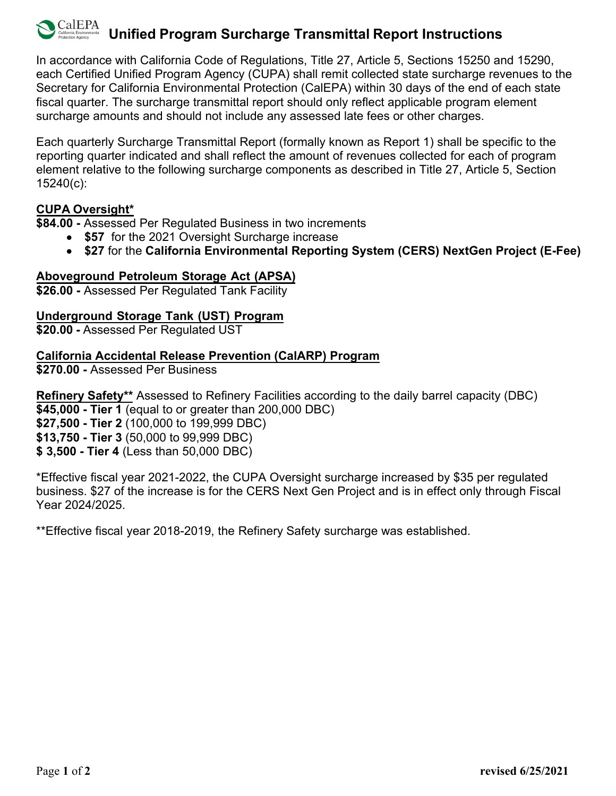## CalEPA **Unified Program Surcharge Transmittal Report Instructions**

In accordance with California Code of Regulations, Title 27, Article 5, Sections 15250 and 15290, each Certified Unified Program Agency (CUPA) shall remit collected state surcharge revenues to the Secretary for California Environmental Protection (CalEPA) within 30 days of the end of each state fiscal quarter. The surcharge transmittal report should only reflect applicable program element surcharge amounts and should not include any assessed late fees or other charges.

Each quarterly Surcharge Transmittal Report (formally known as Report 1) shall be specific to the reporting quarter indicated and shall reflect the amount of revenues collected for each of program element relative to the following surcharge components as described in Title 27, Article 5, Section 15240(c):

# **CUPA Oversight\***

**\$84.00 -** Assessed Per Regulated Business in two increments

- **\$57** for the 2021 Oversight Surcharge increase
- **\$27** for the **California Environmental Reporting System (CERS) NextGen Project (E-Fee)**

# **Aboveground Petroleum Storage Act (APSA)**

**\$26.00 -** Assessed Per Regulated Tank Facility

## **Underground Storage Tank (UST) Program**

**\$20.00 -** Assessed Per Regulated UST

## **California Accidental Release Prevention (CalARP) Program**

**\$270.00 -** Assessed Per Business

**Refinery Safety\*\*** Assessed to Refinery Facilities according to the daily barrel capacity (DBC) **\$45,000 - Tier 1** (equal to or greater than 200,000 DBC)

**\$27,500 - Tier 2** (100,000 to 199,999 DBC)

**\$13,750 - Tier 3** (50,000 to 99,999 DBC)

**\$ 3,500 - Tier 4** (Less than 50,000 DBC)

\*Effective fiscal year 2021-2022, the CUPA Oversight surcharge increased by \$35 per regulated business. \$27 of the increase is for the CERS Next Gen Project and is in effect only through Fiscal Year 2024/2025.

\*\*Effective fiscal year 2018-2019, the Refinery Safety surcharge was established.